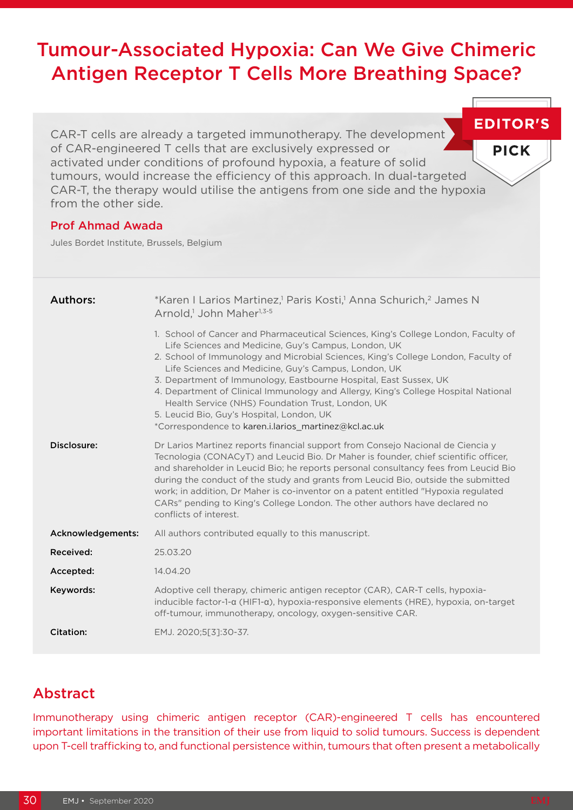# Tumour-Associated Hypoxia: Can We Give Chimeric Antigen Receptor T Cells More Breathing Space?

**EDITOR'S** CAR-T cells are already a targeted immunotherapy. The development of CAR-engineered T cells that are exclusively expressed or activated under conditions of profound hypoxia, a feature of solid tumours, would increase the efficiency of this approach. In dual-targeted CAR-T, the therapy would utilise the antigens from one side and the hypoxia from the other side.

### Prof Ahmad Awada

Jules Bordet Institute, Brussels, Belgium

| Authors:          | *Karen I Larios Martinez, <sup>1</sup> Paris Kosti, <sup>1</sup> Anna Schurich, <sup>2</sup> James N<br>Arnold, <sup>1</sup> John Maher <sup>1,3-5</sup>                                                                                                                                                                                                                                                                                                                                                                                                                                                     |
|-------------------|--------------------------------------------------------------------------------------------------------------------------------------------------------------------------------------------------------------------------------------------------------------------------------------------------------------------------------------------------------------------------------------------------------------------------------------------------------------------------------------------------------------------------------------------------------------------------------------------------------------|
|                   | 1. School of Cancer and Pharmaceutical Sciences, King's College London, Faculty of<br>Life Sciences and Medicine, Guy's Campus, London, UK<br>2. School of Immunology and Microbial Sciences, King's College London, Faculty of<br>Life Sciences and Medicine, Guy's Campus, London, UK<br>3. Department of Immunology, Eastbourne Hospital, East Sussex, UK<br>4. Department of Clinical Immunology and Allergy, King's College Hospital National<br>Health Service (NHS) Foundation Trust, London, UK<br>5. Leucid Bio, Guy's Hospital, London, UK<br>*Correspondence to karen.i.larios_martinez@kcl.ac.uk |
| Disclosure:       | Dr Larios Martinez reports financial support from Consejo Nacional de Ciencia y<br>Tecnologia (CONACyT) and Leucid Bio. Dr Maher is founder, chief scientific officer,<br>and shareholder in Leucid Bio; he reports personal consultancy fees from Leucid Bio<br>during the conduct of the study and grants from Leucid Bio, outside the submitted<br>work; in addition, Dr Maher is co-inventor on a patent entitled "Hypoxia regulated"<br>CARs" pending to King's College London. The other authors have declared no<br>conflicts of interest.                                                            |
| Acknowledgements: | All authors contributed equally to this manuscript.                                                                                                                                                                                                                                                                                                                                                                                                                                                                                                                                                          |
| Received:         | 25.03.20                                                                                                                                                                                                                                                                                                                                                                                                                                                                                                                                                                                                     |
| Accepted:         | 14.04.20                                                                                                                                                                                                                                                                                                                                                                                                                                                                                                                                                                                                     |
| Keywords:         | Adoptive cell therapy, chimeric antigen receptor (CAR), CAR-T cells, hypoxia-<br>inducible factor-1- $\alpha$ (HIF1- $\alpha$ ), hypoxia-responsive elements (HRE), hypoxia, on-target<br>off-tumour, immunotherapy, oncology, oxygen-sensitive CAR.                                                                                                                                                                                                                                                                                                                                                         |
| Citation:         | EMJ. 2020;5[3]:30-37.                                                                                                                                                                                                                                                                                                                                                                                                                                                                                                                                                                                        |

## Abstract

Immunotherapy using chimeric antigen receptor (CAR)-engineered T cells has encountered important limitations in the transition of their use from liquid to solid tumours. Success is dependent upon T-cell trafficking to, and functional persistence within, tumours that often present a metabolically

**PICK**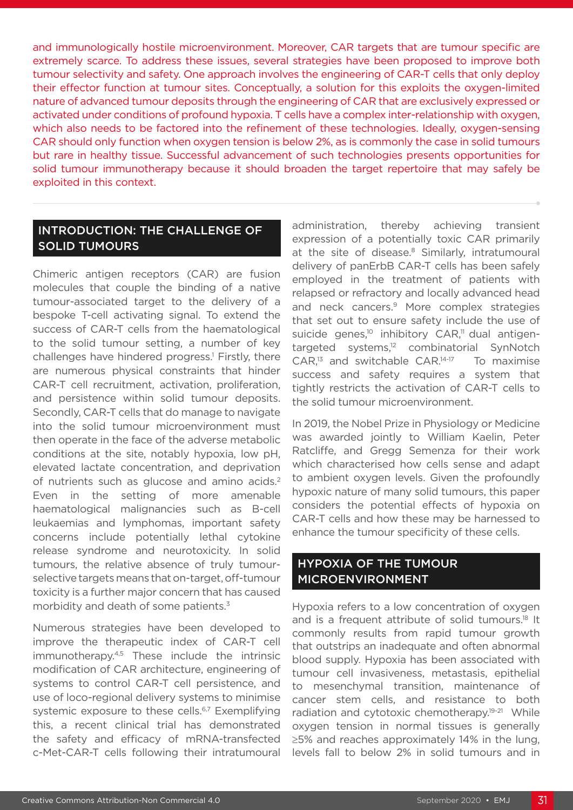and immunologically hostile microenvironment. Moreover, CAR targets that are tumour specific are extremely scarce. To address these issues, several strategies have been proposed to improve both tumour selectivity and safety. One approach involves the engineering of CAR-T cells that only deploy their effector function at tumour sites. Conceptually, a solution for this exploits the oxygen-limited nature of advanced tumour deposits through the engineering of CAR that are exclusively expressed or activated under conditions of profound hypoxia. T cells have a complex inter-relationship with oxygen, which also needs to be factored into the refinement of these technologies. Ideally, oxygen-sensing CAR should only function when oxygen tension is below 2%, as is commonly the case in solid tumours but rare in healthy tissue. Successful advancement of such technologies presents opportunities for solid tumour immunotherapy because it should broaden the target repertoire that may safely be exploited in this context.

### INTRODUCTION: THE CHALLENGE OF SOLID TUMOURS

Chimeric antigen receptors (CAR) are fusion molecules that couple the binding of a native tumour-associated target to the delivery of a bespoke T-cell activating signal. To extend the success of CAR-T cells from the haematological to the solid tumour setting, a number of key challenges have hindered progress.<sup>1</sup> Firstly, there are numerous physical constraints that hinder CAR-T cell recruitment, activation, proliferation, and persistence within solid tumour deposits. Secondly, CAR-T cells that do manage to navigate into the solid tumour microenvironment must then operate in the face of the adverse metabolic conditions at the site, notably hypoxia, low pH, elevated lactate concentration, and deprivation of nutrients such as glucose and amino acids.<sup>2</sup> Even in the setting of more amenable haematological malignancies such as B-cell leukaemias and lymphomas, important safety concerns include potentially lethal cytokine release syndrome and neurotoxicity. In solid tumours, the relative absence of truly tumourselective targets means that on-target, off-tumour toxicity is a further major concern that has caused morbidity and death of some patients.<sup>3</sup>

Numerous strategies have been developed to improve the therapeutic index of CAR-T cell immunotherapy.4,5 These include the intrinsic modification of CAR architecture, engineering of systems to control CAR-T cell persistence, and use of loco-regional delivery systems to minimise systemic exposure to these cells.<sup>6,7</sup> Exemplifying this, a recent clinical trial has demonstrated the safety and efficacy of mRNA-transfected c-Met-CAR-T cells following their intratumoural

administration, thereby achieving transient expression of a potentially toxic CAR primarily at the site of disease.<sup>8</sup> Similarly, intratumoural delivery of panErbB CAR-T cells has been safely employed in the treatment of patients with relapsed or refractory and locally advanced head and neck cancers.9 More complex strategies that set out to ensure safety include the use of suicide genes,<sup>10</sup> inhibitory CAR,<sup>11</sup> dual antigentargeted systems,<sup>12</sup> combinatorial SynNotch  $CAR$ ,<sup>13</sup> and switchable  $CAR$ .<sup>14-17</sup> To maximise success and safety requires a system that tightly restricts the activation of CAR-T cells to the solid tumour microenvironment.

In 2019, the Nobel Prize in Physiology or Medicine was awarded jointly to William Kaelin, Peter Ratcliffe, and Gregg Semenza for their work which characterised how cells sense and adapt to ambient oxygen levels. Given the profoundly hypoxic nature of many solid tumours, this paper considers the potential effects of hypoxia on CAR-T cells and how these may be harnessed to enhance the tumour specificity of these cells.

### HYPOXIA OF THE TUMOUR MICROENVIRONMENT

Hypoxia refers to a low concentration of oxygen and is a frequent attribute of solid tumours.<sup>18</sup> It commonly results from rapid tumour growth that outstrips an inadequate and often abnormal blood supply. Hypoxia has been associated with tumour cell invasiveness, metastasis, epithelial to mesenchymal transition, maintenance of cancer stem cells, and resistance to both radiation and cytotoxic chemotherapy.19-21 While oxygen tension in normal tissues is generally ≥5% and reaches approximately 14% in the lung, levels fall to below 2% in solid tumours and in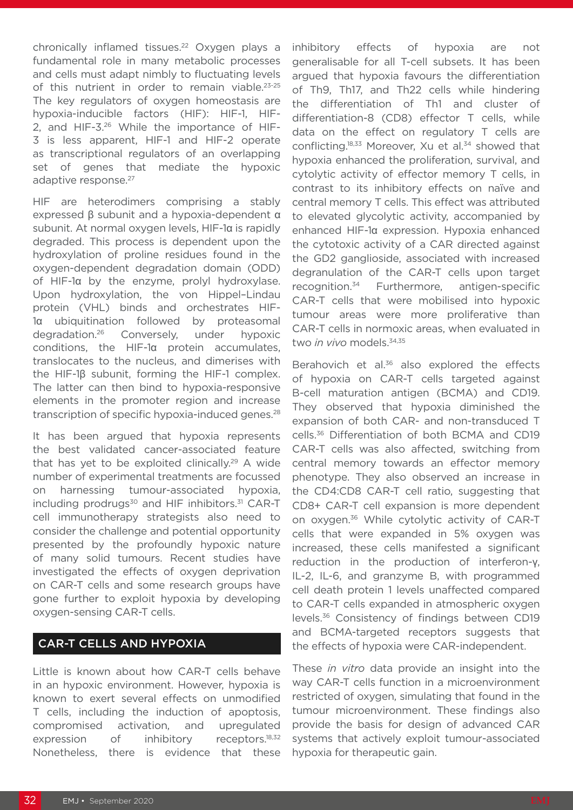chronically inflamed tissues.<sup>22</sup> Oxygen plays a fundamental role in many metabolic processes and cells must adapt nimbly to fluctuating levels of this nutrient in order to remain viable.<sup>23-25</sup> The key regulators of oxygen homeostasis are hypoxia-inducible factors (HIF): HIF-1, HIF-2, and HIF-3.26 While the importance of HIF-3 is less apparent, HIF-1 and HIF-2 operate as transcriptional regulators of an overlapping set of genes that mediate the hypoxic adaptive response.<sup>27</sup>

HIF are heterodimers comprising a stably expressed β subunit and a hypoxia-dependent α subunit. At normal oxygen levels, HIF-1α is rapidly degraded. This process is dependent upon the hydroxylation of proline residues found in the oxygen-dependent degradation domain (ODD) of HIF-1α by the enzyme, prolyl hydroxylase. Upon hydroxylation, the von Hippel–Lindau protein (VHL) binds and orchestrates HIF-1α ubiquitination followed by proteasomal degradation.26 Conversely, under hypoxic conditions, the HIF-1α protein accumulates, translocates to the nucleus, and dimerises with the HIF-1β subunit, forming the HIF-1 complex. The latter can then bind to hypoxia-responsive elements in the promoter region and increase transcription of specific hypoxia-induced genes.<sup>28</sup>

It has been argued that hypoxia represents the best validated cancer-associated feature that has yet to be exploited clinically.29 A wide number of experimental treatments are focussed on harnessing tumour-associated hypoxia, including prodrugs<sup>30</sup> and HIF inhibitors.<sup>31</sup> CAR-T cell immunotherapy strategists also need to consider the challenge and potential opportunity presented by the profoundly hypoxic nature of many solid tumours. Recent studies have investigated the effects of oxygen deprivation on CAR-T cells and some research groups have gone further to exploit hypoxia by developing oxygen-sensing CAR-T cells.

### CAR-T CELLS AND HYPOXIA

Little is known about how CAR-T cells behave in an hypoxic environment. However, hypoxia is known to exert several effects on unmodified T cells, including the induction of apoptosis, compromised activation, and upregulated expression of inhibitory receptors.<sup>18,32</sup> Nonetheless, there is evidence that these

inhibitory effects of hypoxia are not generalisable for all T-cell subsets. It has been argued that hypoxia favours the differentiation of Th9, Th17, and Th22 cells while hindering the differentiation of Th1 and cluster of differentiation-8 (CD8) effector T cells, while data on the effect on regulatory T cells are conflicting.<sup>18,33</sup> Moreover, Xu et al.<sup>34</sup> showed that hypoxia enhanced the proliferation, survival, and cytolytic activity of effector memory T cells, in contrast to its inhibitory effects on naïve and central memory T cells. This effect was attributed to elevated glycolytic activity, accompanied by enhanced HIF-1α expression. Hypoxia enhanced the cytotoxic activity of a CAR directed against the GD2 ganglioside, associated with increased degranulation of the CAR-T cells upon target recognition.34 Furthermore, antigen-specific CAR-T cells that were mobilised into hypoxic tumour areas were more proliferative than CAR-T cells in normoxic areas, when evaluated in two *in vivo* models.<sup>34,35</sup>

Berahovich et al.<sup>36</sup> also explored the effects of hypoxia on CAR-T cells targeted against B-cell maturation antigen (BCMA) and CD19. They observed that hypoxia diminished the expansion of both CAR- and non-transduced T cells.36 Differentiation of both BCMA and CD19 CAR-T cells was also affected, switching from central memory towards an effector memory phenotype. They also observed an increase in the CD4:CD8 CAR-T cell ratio, suggesting that CD8+ CAR-T cell expansion is more dependent on oxygen.36 While cytolytic activity of CAR-T cells that were expanded in 5% oxygen was increased, these cells manifested a significant reduction in the production of interferon-γ, IL-2, IL-6, and granzyme B, with programmed cell death protein 1 levels unaffected compared to CAR-T cells expanded in atmospheric oxygen levels.36 Consistency of findings between CD19 and BCMA-targeted receptors suggests that the effects of hypoxia were CAR-independent.

These *in vitro* data provide an insight into the way CAR-T cells function in a microenvironment restricted of oxygen, simulating that found in the tumour microenvironment. These findings also provide the basis for design of advanced CAR systems that actively exploit tumour-associated hypoxia for therapeutic gain.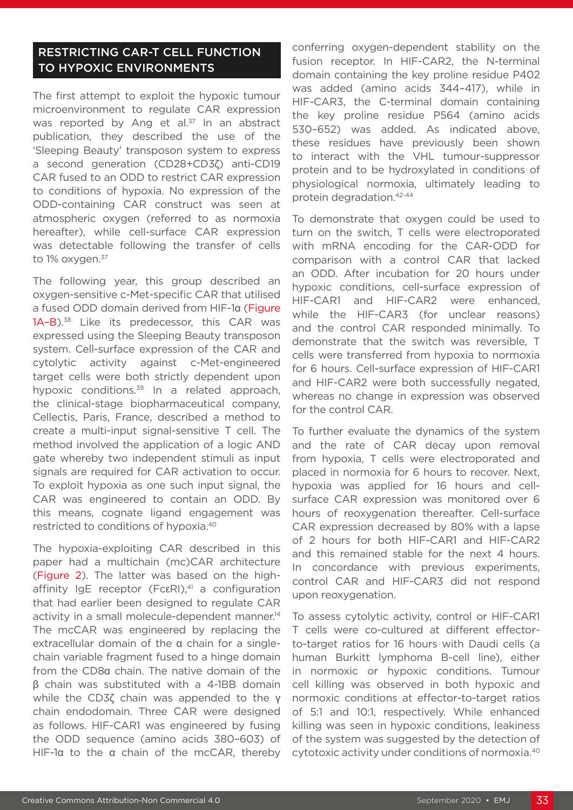### RESTRICTING CAR-T CELL FUNCTION TO HYPOXIC ENVIRONMENTS

The first attempt to exploit the hypoxic tumour microenvironment to regulate CAR expression was reported by Ang et al. $37$  In an abstract publication, they described the use of the 'Sleeping Beauty' transposon system to express a second generation (CD28+CD3ζ) anti-CD19 CAR fused to an ODD to restrict CAR expression to conditions of hypoxia. No expression of the ODD-containing CAR construct was seen at atmospheric oxygen (referred to as normoxia hereafter), while cell-surface CAR expression was detectable following the transfer of cells to 1% oxygen.<sup>37</sup>

The following year, this group described an oxygen-sensitive c-Met-specific CAR that utilised a fused ODD domain derived from HIF-1α (Figure 1A-B).<sup>38</sup> Like its predecessor, this CAR was expressed using the Sleeping Beauty transposon system. Cell-surface expression of the CAR and cytolytic activity against c-Met-engineered target cells were both strictly dependent upon hypoxic conditions.<sup>39</sup> In a related approach, the clinical-stage biopharmaceutical company, Cellectis, Paris, France, described a method to create a multi-input signal-sensitive T cell. The method involved the application of a logic AND gate whereby two independent stimuli as input signals are required for CAR activation to occur. To exploit hypoxia as one such input signal, the CAR was engineered to contain an ODD. By this means, cognate ligand engagement was restricted to conditions of hypoxia.40

The hypoxia-exploiting CAR described in this paper had a multichain (mc)CAR architecture (Figure 2). The latter was based on the highaffinity IgE receptor (Fc $\varepsilon$ RI),<sup>41</sup> a configuration that had earlier been designed to regulate CAR activity in a small molecule-dependent manner.<sup>14</sup> The mcCAR was engineered by replacing the extracellular domain of the α chain for a singlechain variable fragment fused to a hinge domain from the CD8α chain. The native domain of the β chain was substituted with a 4-1BB domain while the CD3ζ chain was appended to the γ chain endodomain. Three CAR were designed as follows. HIF-CAR1 was engineered by fusing the ODD sequence (amino acids 380–603) of HIF-1α to the α chain of the mcCAR, thereby conferring oxygen-dependent stability on the fusion receptor. In HIF-CAR2, the N-terminal domain containing the key proline residue P402 was added (amino acids 344–417), while in HIF-CAR3, the C-terminal domain containing the key proline residue P564 (amino acids 530–652) was added. As indicated above, these residues have previously been shown to interact with the VHL tumour-suppressor protein and to be hydroxylated in conditions of physiological normoxia, ultimately leading to protein degradation.42-44

To demonstrate that oxygen could be used to turn on the switch, T cells were electroporated with mRNA encoding for the CAR-ODD for comparison with a control CAR that lacked an ODD. After incubation for 20 hours under hypoxic conditions, cell-surface expression of HIF-CAR1 and HIF-CAR2 were enhanced, while the HIF-CAR3 (for unclear reasons) and the control CAR responded minimally. To demonstrate that the switch was reversible, T cells were transferred from hypoxia to normoxia for 6 hours. Cell-surface expression of HIF-CAR1 and HIF-CAR2 were both successfully negated, whereas no change in expression was observed for the control CAR.

To further evaluate the dynamics of the system and the rate of CAR decay upon removal from hypoxia, T cells were electroporated and placed in normoxia for 6 hours to recover. Next, hypoxia was applied for 16 hours and cellsurface CAR expression was monitored over 6 hours of reoxygenation thereafter. Cell-surface CAR expression decreased by 80% with a lapse of 2 hours for both HIF-CAR1 and HIF-CAR2 and this remained stable for the next 4 hours. In concordance with previous experiments, control CAR and HIF-CAR3 did not respond upon reoxygenation.

To assess cytolytic activity, control or HIF-CAR1 T cells were co-cultured at different effectorto-target ratios for 16 hours with Daudi cells (a human Burkitt lymphoma B-cell line), either in normoxic or hypoxic conditions. Tumour cell killing was observed in both hypoxic and normoxic conditions at effector-to-target ratios of 5:1 and 10:1, respectively. While enhanced killing was seen in hypoxic conditions, leakiness of the system was suggested by the detection of cytotoxic activity under conditions of normoxia.40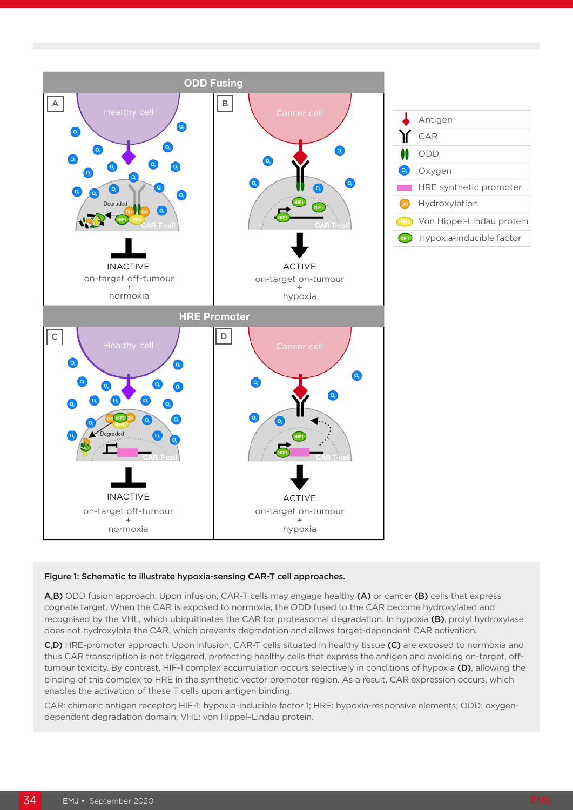



#### Figure 1: Schematic to illustrate hypoxia-sensing CAR-T cell approaches.

A,B) ODD fusion approach. Upon infusion, CAR-T cells may engage healthy (A) or cancer (B) cells that express cognate target. When the CAR is exposed to normoxia, the ODD fused to the CAR become hydroxylated and recognised by the VHL, which ubiquitinates the CAR for proteasomal degradation. In hypoxia (B), prolyl hydroxylase does not hydroxylate the CAR, which prevents degradation and allows target-dependent CAR activation.

C,D) HRE-promoter approach. Upon infusion, CAR-T cells situated in healthy tissue (C) are exposed to normoxia and thus CAR transcription is not triggered, protecting healthy cells that express the antigen and avoiding on-target, offtumour toxicity. By contrast, HIF-1 complex accumulation occurs selectively in conditions of hypoxia (D), allowing the binding of this complex to HRE in the synthetic vector promoter region. As a result, CAR expression occurs, which enables the activation of these T cells upon antigen binding.

CAR: chimeric antigen receptor; HIF-1: hypoxia-inducible factor 1; HRE: hypoxia-responsive elements; ODD: oxygendependent degradation domain; VHL: von Hippel–Lindau protein.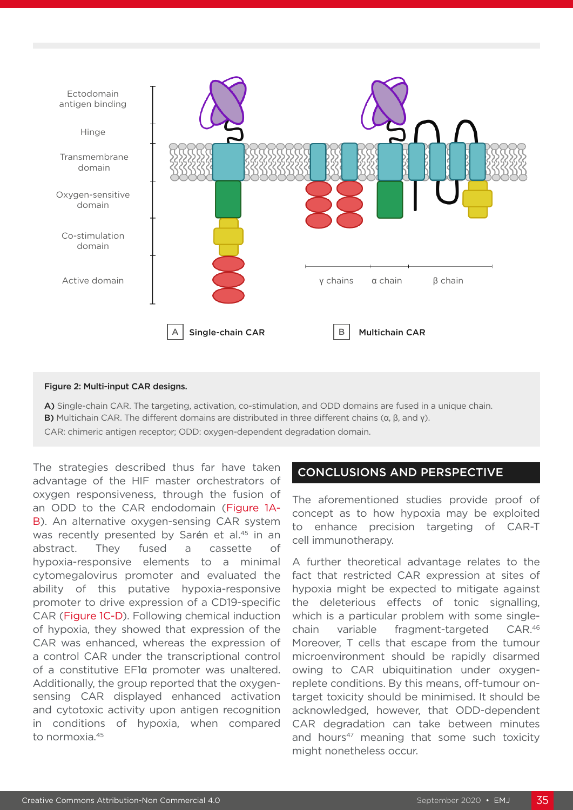

#### Figure 2: Multi-input CAR designs.

A) Single-chain CAR. The targeting, activation, co-stimulation, and ODD domains are fused in a unique chain. B) Multichain CAR. The different domains are distributed in three different chains (α, β, and γ).

CAR: chimeric antigen receptor; ODD: oxygen-dependent degradation domain.

The strategies described thus far have taken advantage of the HIF master orchestrators of oxygen responsiveness, through the fusion of an ODD to the CAR endodomain (Figure 1A-B). An alternative oxygen-sensing CAR system was recently presented by Sarén et al.<sup>45</sup> in an abstract. They fused a cassette of hypoxia-responsive elements to a minimal cytomegalovirus promoter and evaluated the ability of this putative hypoxia-responsive promoter to drive expression of a CD19-specific CAR (Figure 1C-D). Following chemical induction of hypoxia, they showed that expression of the CAR was enhanced, whereas the expression of a control CAR under the transcriptional control of a constitutive EF1α promoter was unaltered. Additionally, the group reported that the oxygensensing CAR displayed enhanced activation and cytotoxic activity upon antigen recognition in conditions of hypoxia, when compared to normoxia.45

#### CONCLUSIONS AND PERSPECTIVE

The aforementioned studies provide proof of concept as to how hypoxia may be exploited to enhance precision targeting of CAR-T cell immunotherapy.

A further theoretical advantage relates to the fact that restricted CAR expression at sites of hypoxia might be expected to mitigate against the deleterious effects of tonic signalling, which is a particular problem with some singlechain variable fragment-targeted CAR.46 Moreover, T cells that escape from the tumour microenvironment should be rapidly disarmed owing to CAR ubiquitination under oxygenreplete conditions. By this means, off-tumour ontarget toxicity should be minimised. It should be acknowledged, however, that ODD-dependent CAR degradation can take between minutes and hours<sup>47</sup> meaning that some such toxicity might nonetheless occur.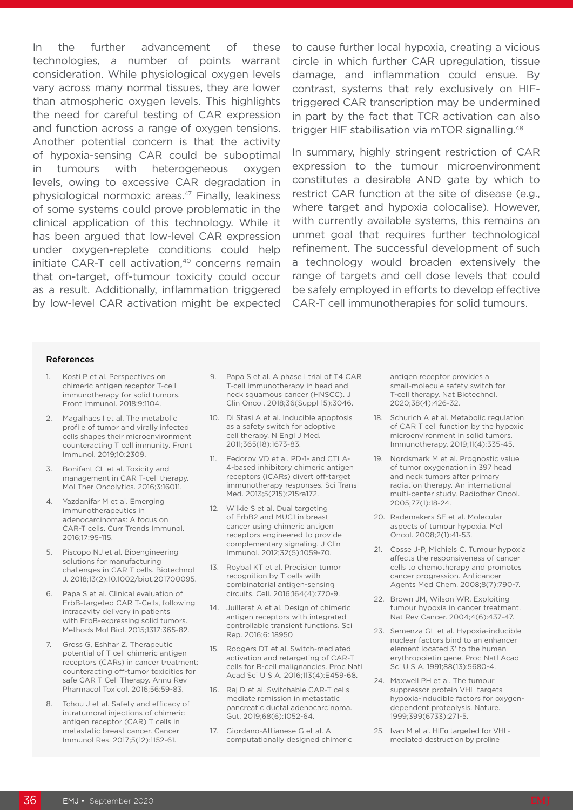In the further advancement of these technologies, a number of points warrant consideration. While physiological oxygen levels vary across many normal tissues, they are lower than atmospheric oxygen levels. This highlights the need for careful testing of CAR expression and function across a range of oxygen tensions. Another potential concern is that the activity of hypoxia-sensing CAR could be suboptimal in tumours with heterogeneous oxygen levels, owing to excessive CAR degradation in physiological normoxic areas.47 Finally, leakiness of some systems could prove problematic in the clinical application of this technology. While it has been argued that low-level CAR expression under oxygen-replete conditions could help initiate CAR-T cell activation,<sup>40</sup> concerns remain that on-target, off-tumour toxicity could occur as a result. Additionally, inflammation triggered by low-level CAR activation might be expected

to cause further local hypoxia, creating a vicious circle in which further CAR upregulation, tissue damage, and inflammation could ensue. By contrast, systems that rely exclusively on HIFtriggered CAR transcription may be undermined in part by the fact that TCR activation can also trigger HIF stabilisation via mTOR signalling.48

In summary, highly stringent restriction of CAR expression to the tumour microenvironment constitutes a desirable AND gate by which to restrict CAR function at the site of disease (e.g., where target and hypoxia colocalise). However, with currently available systems, this remains an unmet goal that requires further technological refinement. The successful development of such a technology would broaden extensively the range of targets and cell dose levels that could be safely employed in efforts to develop effective CAR-T cell immunotherapies for solid tumours.

#### References

- 1. Kosti P et al. Perspectives on chimeric antigen receptor T-cell immunotherapy for solid tumors. Front Immunol. 2018;9:1104.
- 2. Magalhaes I et al. The metabolic profile of tumor and virally infected cells shapes their microenvironment counteracting T cell immunity. Front Immunol. 2019;10:2309.
- 3. Bonifant CL et al. Toxicity and management in CAR T-cell therapy. Mol Ther Oncolytics. 2016;3:16011.
- 4. Yazdanifar M et al. Emerging immunotherapeutics in adenocarcinomas: A focus on CAR-T cells. Curr Trends Immunol. 2016;17:95-115.
- 5. Piscopo NJ et al. Bioengineering solutions for manufacturing challenges in CAR T cells. Biotechnol J. 2018;13(2):10.1002/biot.201700095.
- 6. Papa S et al. Clinical evaluation of ErbB-targeted CAR T-Cells, following intracavity delivery in patients with ErbB-expressing solid tumors. Methods Mol Biol. 2015;1317:365-82.
- 7. Gross G, Eshhar Z. Therapeutic potential of T cell chimeric antigen receptors (CARs) in cancer treatment: counteracting off-tumor toxicities for safe CAR T Cell Therapy. Annu Rev Pharmacol Toxicol. 2016;56:59-83.
- 8. Tchou J et al. Safety and efficacy of intratumoral injections of chimeric antigen receptor (CAR) T cells in metastatic breast cancer. Cancer Immunol Res. 2017;5(12):1152-61.
- 9. Papa S et al. A phase I trial of T4 CAR T-cell immunotherapy in head and neck squamous cancer (HNSCC). J Clin Oncol. 2018;36(Suppl 15):3046.
- 10. Di Stasi A et al. Inducible apoptosis as a safety switch for adoptive cell therapy. N Engl J Med. 2011;365(18):1673-83.
- 11. Fedorov VD et al. PD-1- and CTLA-4-based inhibitory chimeric antigen receptors (iCARs) divert off-target immunotherapy responses. Sci Transl Med. 2013;5(215):215ra172.
- 12. Wilkie S et al. Dual targeting of ErbB2 and MUC1 in breast cancer using chimeric antigen receptors engineered to provide complementary signaling. J Clin Immunol. 2012;32(5):1059-70.
- 13. Roybal KT et al. Precision tumor recognition by T cells with combinatorial antigen-sensing circuits. Cell. 2016;164(4):770-9.
- 14. Juillerat A et al. Design of chimeric antigen receptors with integrated controllable transient functions. Sci Rep. 2016;6: 18950
- 15. Rodgers DT et al. Switch-mediated activation and retargeting of CAR-T cells for B-cell malignancies. Proc Natl Acad Sci U S A. 2016;113(4):E459-68.
- 16. Raj D et al. Switchable CAR-T cells mediate remission in metastatic pancreatic ductal adenocarcinoma. Gut. 2019;68(6):1052-64.
- 17. Giordano-Attianese G et al. A computationally designed chimeric

antigen receptor provides a small-molecule safety switch for T-cell therapy. Nat Biotechnol. 2020;38(4):426-32.

- 18. Schurich A et al. Metabolic regulation of CAR T cell function by the hypoxic microenvironment in solid tumors. Immunotherapy. 2019;11(4):335-45.
- 19. Nordsmark M et al. Prognostic value of tumor oxygenation in 397 head and neck tumors after primary radiation therapy. An international multi-center study. Radiother Oncol. 2005;77(1):18-24.
- 20. Rademakers SE et al. Molecular aspects of tumour hypoxia. Mol Oncol. 2008;2(1):41-53.
- 21. Cosse J-P, Michiels C. Tumour hypoxia affects the responsiveness of cancer cells to chemotherapy and promotes cancer progression. Anticancer Agents Med Chem. 2008;8(7):790-7.
- 22. Brown JM, Wilson WR. Exploiting tumour hypoxia in cancer treatment. Nat Rev Cancer. 2004;4(6):437-47.
- 23. Semenza GL et al. Hypoxia-inducible nuclear factors bind to an enhancer element located 3' to the human erythropoietin gene. Proc Natl Acad Sci U S A. 1991;88(13):5680-4.
- 24. Maxwell PH et al. The tumour suppressor protein VHL targets hypoxia-inducible factors for oxygendependent proteolysis. Nature. 1999;399(6733):271-5.
- 25. Ivan M et al. HIFα targeted for VHLmediated destruction by proline